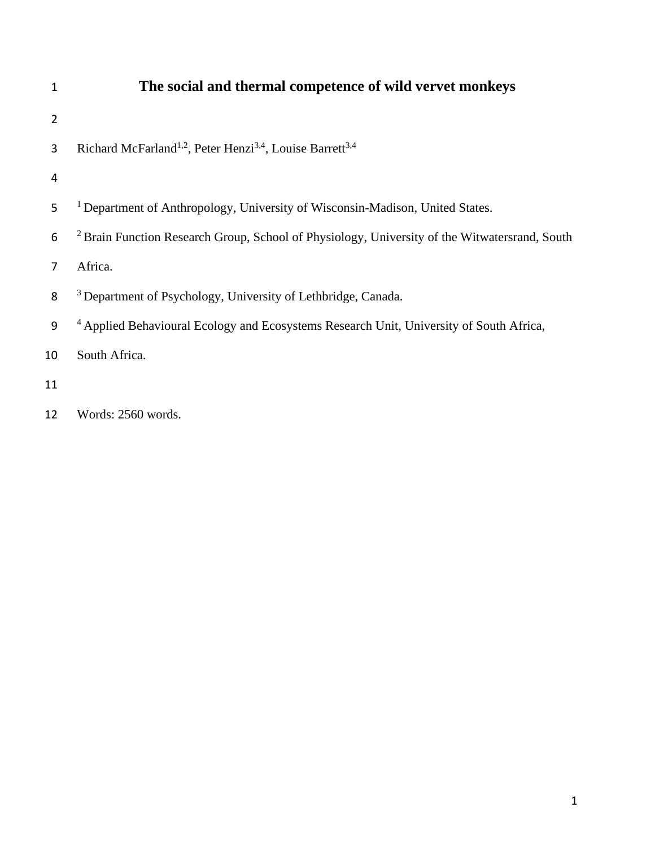| 1              | The social and thermal competence of wild vervet monkeys                                                 |
|----------------|----------------------------------------------------------------------------------------------------------|
| $\overline{2}$ |                                                                                                          |
| 3              | Richard McFarland <sup>1,2</sup> , Peter Henzi <sup>3,4</sup> , Louise Barrett <sup>3,4</sup>            |
| 4              |                                                                                                          |
| 5              | <sup>1</sup> Department of Anthropology, University of Wisconsin-Madison, United States.                 |
| 6              | <sup>2</sup> Brain Function Research Group, School of Physiology, University of the Witwatersrand, South |
| 7              | Africa.                                                                                                  |
| 8              | <sup>3</sup> Department of Psychology, University of Lethbridge, Canada.                                 |
| 9              | <sup>4</sup> Applied Behavioural Ecology and Ecosystems Research Unit, University of South Africa,       |
| 10             | South Africa.                                                                                            |
| 11             |                                                                                                          |
| 12             | Words: 2560 words.                                                                                       |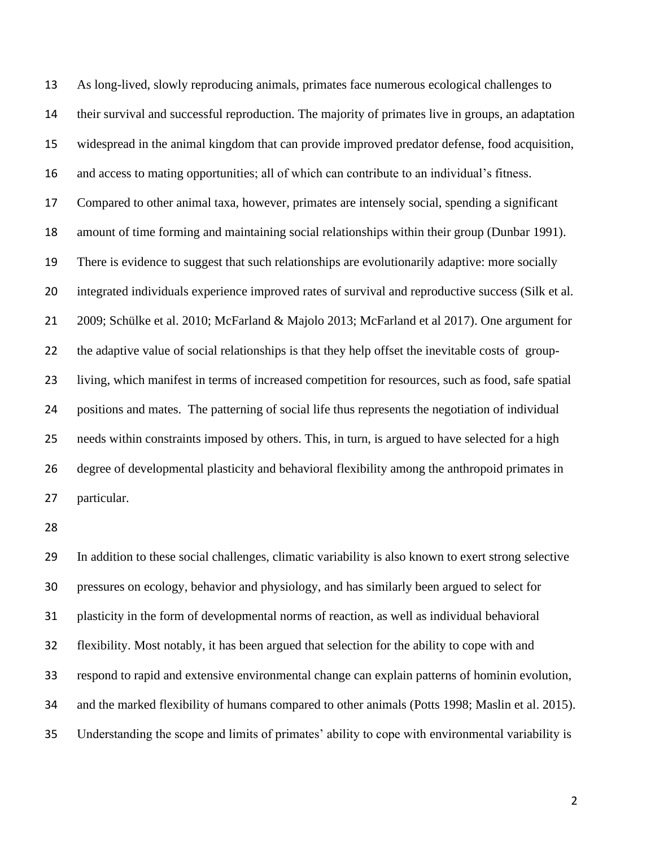As long-lived, slowly reproducing animals, primates face numerous ecological challenges to their survival and successful reproduction. The majority of primates live in groups, an adaptation widespread in the animal kingdom that can provide improved predator defense, food acquisition, and access to mating opportunities; all of which can contribute to an individual's fitness. Compared to other animal taxa, however, primates are intensely social, spending a significant amount of time forming and maintaining social relationships within their group (Dunbar 1991). There is evidence to suggest that such relationships are evolutionarily adaptive: more socially integrated individuals experience improved rates of survival and reproductive success (Silk et al. 2009; Schülke et al. 2010; McFarland & Majolo 2013; McFarland et al 2017). One argument for the adaptive value of social relationships is that they help offset the inevitable costs of group- living, which manifest in terms of increased competition for resources, such as food, safe spatial positions and mates. The patterning of social life thus represents the negotiation of individual needs within constraints imposed by others. This, in turn, is argued to have selected for a high degree of developmental plasticity and behavioral flexibility among the anthropoid primates in particular.

 In addition to these social challenges, climatic variability is also known to exert strong selective pressures on ecology, behavior and physiology, and has similarly been argued to select for plasticity in the form of developmental norms of reaction, as well as individual behavioral flexibility. Most notably, it has been argued that selection for the ability to cope with and respond to rapid and extensive environmental change can explain patterns of hominin evolution, and the marked flexibility of humans compared to other animals (Potts 1998; Maslin et al. 2015). Understanding the scope and limits of primates' ability to cope with environmental variability is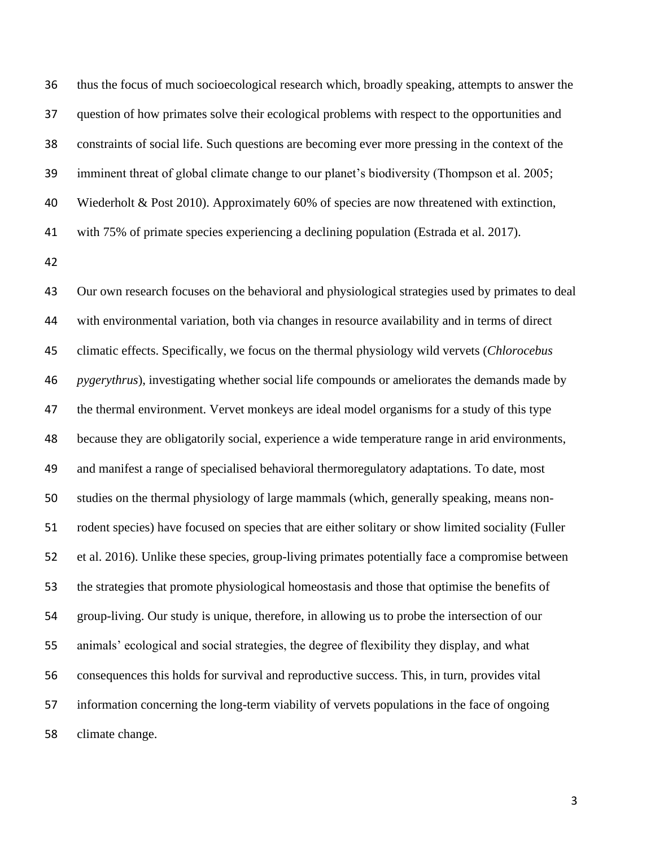thus the focus of much socioecological research which, broadly speaking, attempts to answer the question of how primates solve their ecological problems with respect to the opportunities and constraints of social life. Such questions are becoming ever more pressing in the context of the imminent threat of global climate change to our planet's biodiversity (Thompson et al. 2005; Wiederholt & Post 2010). Approximately 60% of species are now threatened with extinction, with 75% of primate species experiencing a declining population (Estrada et al. 2017).

 Our own research focuses on the behavioral and physiological strategies used by primates to deal with environmental variation, both via changes in resource availability and in terms of direct climatic effects. Specifically, we focus on the thermal physiology wild vervets (*Chlorocebus pygerythrus*), investigating whether social life compounds or ameliorates the demands made by the thermal environment. Vervet monkeys are ideal model organisms for a study of this type because they are obligatorily social, experience a wide temperature range in arid environments, and manifest a range of specialised behavioral thermoregulatory adaptations. To date, most studies on the thermal physiology of large mammals (which, generally speaking, means non- rodent species) have focused on species that are either solitary or show limited sociality (Fuller et al. 2016). Unlike these species, group-living primates potentially face a compromise between the strategies that promote physiological homeostasis and those that optimise the benefits of group-living. Our study is unique, therefore, in allowing us to probe the intersection of our animals' ecological and social strategies, the degree of flexibility they display, and what consequences this holds for survival and reproductive success. This, in turn, provides vital information concerning the long-term viability of vervets populations in the face of ongoing climate change.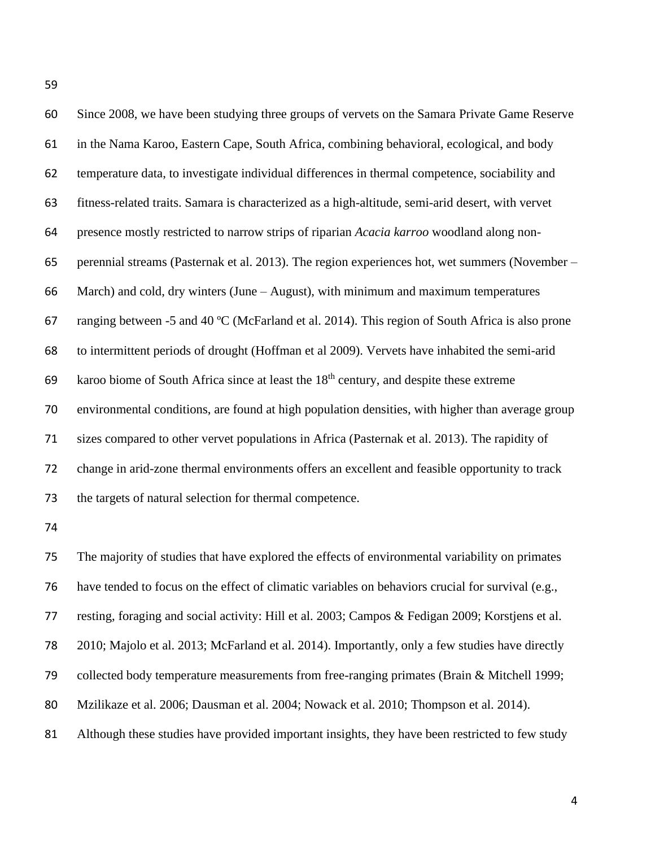| 60  | Since 2008, we have been studying three groups of vervets on the Samara Private Game Reserve       |
|-----|----------------------------------------------------------------------------------------------------|
| 61  | in the Nama Karoo, Eastern Cape, South Africa, combining behavioral, ecological, and body          |
| 62  | temperature data, to investigate individual differences in thermal competence, sociability and     |
| 63  | fitness-related traits. Samara is characterized as a high-altitude, semi-arid desert, with vervet  |
| 64  | presence mostly restricted to narrow strips of riparian Acacia karroo woodland along non-          |
| 65  | perennial streams (Pasternak et al. 2013). The region experiences hot, wet summers (November –     |
| 66  | March) and cold, dry winters (June – August), with minimum and maximum temperatures                |
| 67  | ranging between -5 and 40 °C (McFarland et al. 2014). This region of South Africa is also prone    |
| 68  | to intermittent periods of drought (Hoffman et al 2009). Vervets have inhabited the semi-arid      |
| 69  | karoo biome of South Africa since at least the 18 <sup>th</sup> century, and despite these extreme |
| 70  | environmental conditions, are found at high population densities, with higher than average group   |
| 71  | sizes compared to other vervet populations in Africa (Pasternak et al. 2013). The rapidity of      |
| 72  | change in arid-zone thermal environments offers an excellent and feasible opportunity to track     |
| 73  | the targets of natural selection for thermal competence.                                           |
| 74  |                                                                                                    |
| 75  | The majority of studies that have explored the effects of environmental variability on primates    |
| 76. | have tended to focus on the effect of climatic variables on behaviors crucial for survival (e.g.   |
| 77  | resting, foraging and social activity: Hill et al. 2003; Campos & Fedigan 2009; Korstjens et al.   |
| 78  | 2010; Majolo et al. 2013; McFarland et al. 2014). Importantly, only a few studies have directly    |
| 79  | collected body temperature measurements from free-ranging primates (Brain & Mitchell 1999;         |

Mzilikaze et al. 2006; Dausman et al. 2004; Nowack et al. 2010; Thompson et al. 2014).

81 Although these studies have provided important insights, they have been restricted to few study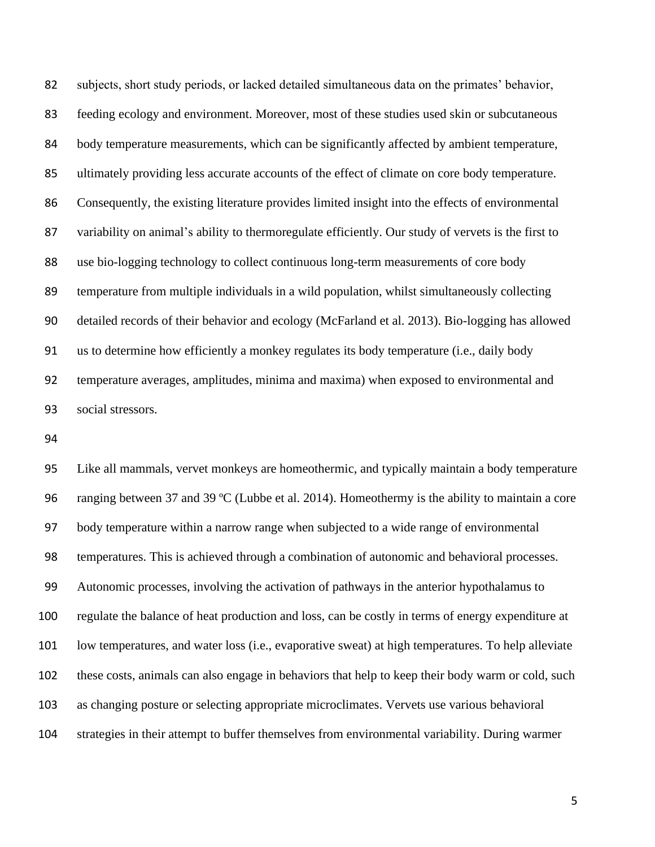subjects, short study periods, or lacked detailed simultaneous data on the primates' behavior, feeding ecology and environment. Moreover, most of these studies used skin or subcutaneous body temperature measurements, which can be significantly affected by ambient temperature, ultimately providing less accurate accounts of the effect of climate on core body temperature. Consequently, the existing literature provides limited insight into the effects of environmental variability on animal's ability to thermoregulate efficiently. Our study of vervets is the first to use bio-logging technology to collect continuous long-term measurements of core body temperature from multiple individuals in a wild population, whilst simultaneously collecting detailed records of their behavior and ecology (McFarland et al. 2013). Bio-logging has allowed us to determine how efficiently a monkey regulates its body temperature (i.e., daily body temperature averages, amplitudes, minima and maxima) when exposed to environmental and social stressors.

 Like all mammals, vervet monkeys are homeothermic, and typically maintain a body temperature ranging between 37 and 39 ºC (Lubbe et al. 2014). Homeothermy is the ability to maintain a core body temperature within a narrow range when subjected to a wide range of environmental temperatures. This is achieved through a combination of autonomic and behavioral processes. Autonomic processes, involving the activation of pathways in the anterior hypothalamus to regulate the balance of heat production and loss, can be costly in terms of energy expenditure at low temperatures, and water loss (i.e., evaporative sweat) at high temperatures. To help alleviate these costs, animals can also engage in behaviors that help to keep their body warm or cold, such as changing posture or selecting appropriate microclimates. Vervets use various behavioral strategies in their attempt to buffer themselves from environmental variability. During warmer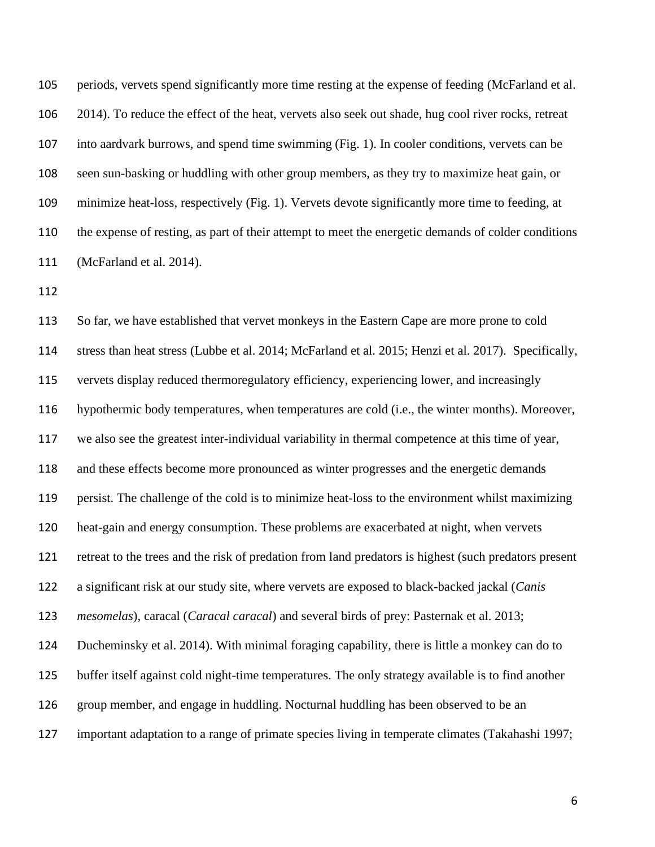periods, vervets spend significantly more time resting at the expense of feeding (McFarland et al. 2014). To reduce the effect of the heat, vervets also seek out shade, hug cool river rocks, retreat into aardvark burrows, and spend time swimming (Fig. 1). In cooler conditions, vervets can be seen sun-basking or huddling with other group members, as they try to maximize heat gain, or minimize heat-loss, respectively (Fig. 1). Vervets devote significantly more time to feeding, at the expense of resting, as part of their attempt to meet the energetic demands of colder conditions (McFarland et al. 2014).

 So far, we have established that vervet monkeys in the Eastern Cape are more prone to cold stress than heat stress (Lubbe et al. 2014; McFarland et al. 2015; Henzi et al. 2017). Specifically, vervets display reduced thermoregulatory efficiency, experiencing lower, and increasingly hypothermic body temperatures, when temperatures are cold (i.e., the winter months). Moreover, we also see the greatest inter-individual variability in thermal competence at this time of year, and these effects become more pronounced as winter progresses and the energetic demands persist. The challenge of the cold is to minimize heat-loss to the environment whilst maximizing heat-gain and energy consumption. These problems are exacerbated at night, when vervets retreat to the trees and the risk of predation from land predators is highest (such predators present a significant risk at our study site, where vervets are exposed to black-backed jackal (*Canis mesomelas*), caracal (*Caracal caracal*) and several birds of prey: Pasternak et al. 2013; Ducheminsky et al. 2014). With minimal foraging capability, there is little a monkey can do to buffer itself against cold night-time temperatures. The only strategy available is to find another group member, and engage in huddling. Nocturnal huddling has been observed to be an important adaptation to a range of primate species living in temperate climates (Takahashi 1997;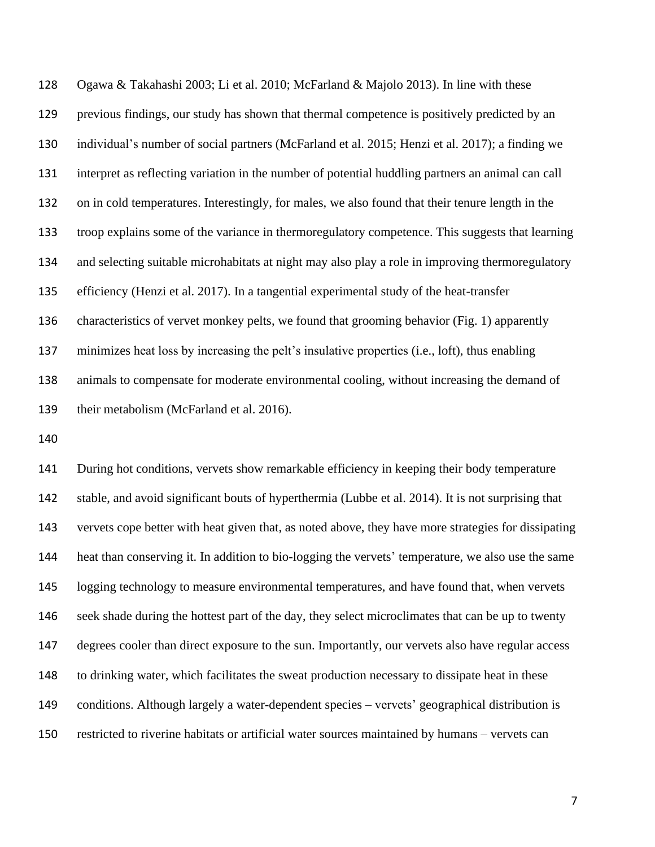Ogawa & Takahashi 2003; Li et al. 2010; McFarland & Majolo 2013). In line with these previous findings, our study has shown that thermal competence is positively predicted by an individual's number of social partners (McFarland et al. 2015; Henzi et al. 2017); a finding we interpret as reflecting variation in the number of potential huddling partners an animal can call on in cold temperatures. Interestingly, for males, we also found that their tenure length in the troop explains some of the variance in thermoregulatory competence. This suggests that learning and selecting suitable microhabitats at night may also play a role in improving thermoregulatory efficiency (Henzi et al. 2017). In a tangential experimental study of the heat-transfer characteristics of vervet monkey pelts, we found that grooming behavior (Fig. 1) apparently minimizes heat loss by increasing the pelt's insulative properties (i.e., loft), thus enabling animals to compensate for moderate environmental cooling, without increasing the demand of their metabolism (McFarland et al. 2016).

 During hot conditions, vervets show remarkable efficiency in keeping their body temperature stable, and avoid significant bouts of hyperthermia (Lubbe et al. 2014). It is not surprising that vervets cope better with heat given that, as noted above, they have more strategies for dissipating heat than conserving it. In addition to bio-logging the vervets' temperature, we also use the same logging technology to measure environmental temperatures, and have found that, when vervets seek shade during the hottest part of the day, they select microclimates that can be up to twenty degrees cooler than direct exposure to the sun. Importantly, our vervets also have regular access to drinking water, which facilitates the sweat production necessary to dissipate heat in these conditions. Although largely a water-dependent species – vervets' geographical distribution is restricted to riverine habitats or artificial water sources maintained by humans – vervets can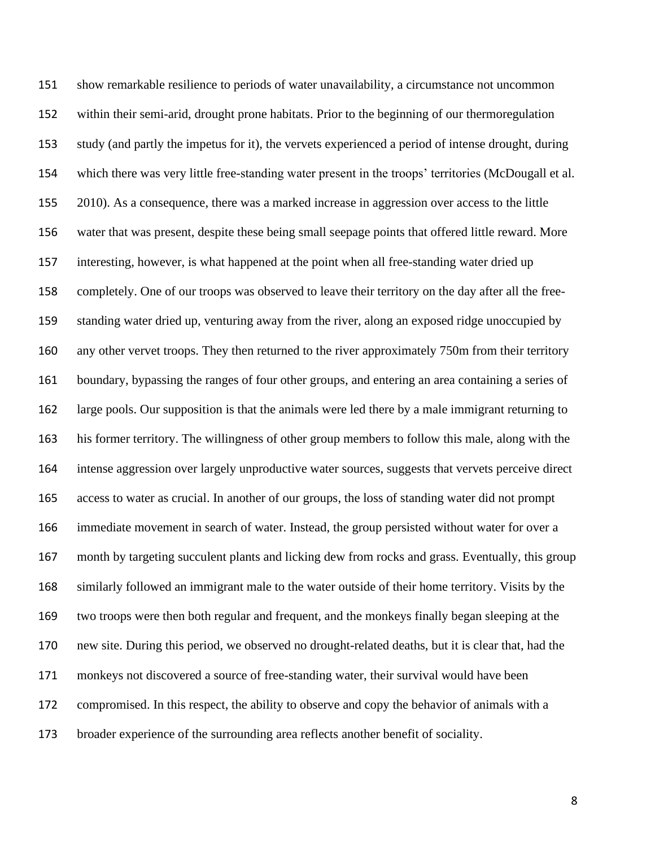show remarkable resilience to periods of water unavailability, a circumstance not uncommon within their semi-arid, drought prone habitats. Prior to the beginning of our thermoregulation study (and partly the impetus for it), the vervets experienced a period of intense drought, during which there was very little free-standing water present in the troops' territories (McDougall et al. 2010). As a consequence, there was a marked increase in aggression over access to the little water that was present, despite these being small seepage points that offered little reward. More interesting, however, is what happened at the point when all free-standing water dried up completely. One of our troops was observed to leave their territory on the day after all the free- standing water dried up, venturing away from the river, along an exposed ridge unoccupied by 160 any other vervet troops. They then returned to the river approximately 750m from their territory boundary, bypassing the ranges of four other groups, and entering an area containing a series of large pools. Our supposition is that the animals were led there by a male immigrant returning to his former territory. The willingness of other group members to follow this male, along with the intense aggression over largely unproductive water sources, suggests that vervets perceive direct access to water as crucial. In another of our groups, the loss of standing water did not prompt immediate movement in search of water. Instead, the group persisted without water for over a month by targeting succulent plants and licking dew from rocks and grass. Eventually, this group similarly followed an immigrant male to the water outside of their home territory. Visits by the two troops were then both regular and frequent, and the monkeys finally began sleeping at the new site. During this period, we observed no drought-related deaths, but it is clear that, had the monkeys not discovered a source of free-standing water, their survival would have been compromised. In this respect, the ability to observe and copy the behavior of animals with a broader experience of the surrounding area reflects another benefit of sociality.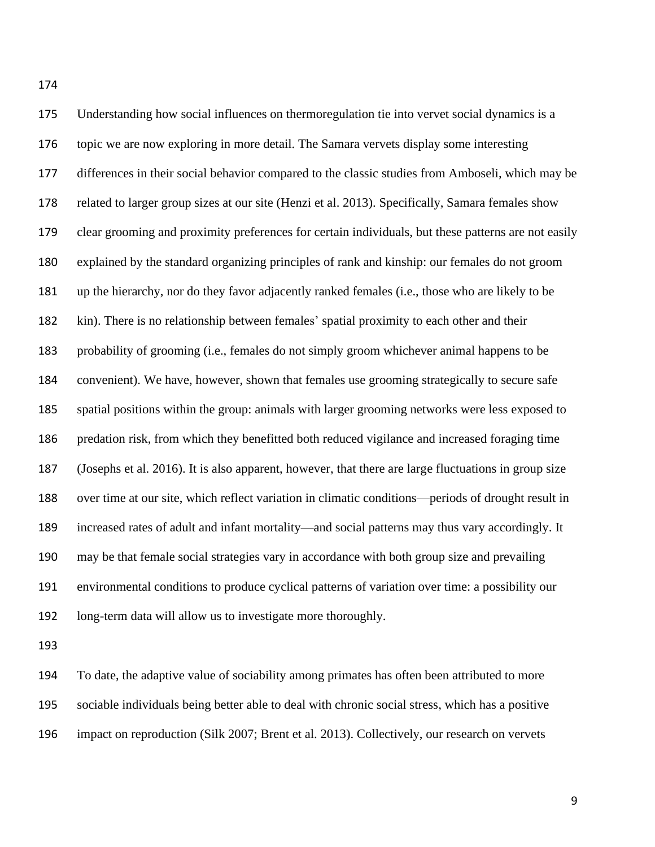Understanding how social influences on thermoregulation tie into vervet social dynamics is a topic we are now exploring in more detail. The Samara vervets display some interesting differences in their social behavior compared to the classic studies from Amboseli, which may be related to larger group sizes at our site (Henzi et al. 2013). Specifically, Samara females show clear grooming and proximity preferences for certain individuals, but these patterns are not easily explained by the standard organizing principles of rank and kinship: our females do not groom up the hierarchy, nor do they favor adjacently ranked females (i.e., those who are likely to be kin). There is no relationship between females' spatial proximity to each other and their probability of grooming (i.e., females do not simply groom whichever animal happens to be convenient). We have, however, shown that females use grooming strategically to secure safe spatial positions within the group: animals with larger grooming networks were less exposed to predation risk, from which they benefitted both reduced vigilance and increased foraging time (Josephs et al. 2016). It is also apparent, however, that there are large fluctuations in group size over time at our site, which reflect variation in climatic conditions—periods of drought result in increased rates of adult and infant mortality—and social patterns may thus vary accordingly. It may be that female social strategies vary in accordance with both group size and prevailing environmental conditions to produce cyclical patterns of variation over time: a possibility our long-term data will allow us to investigate more thoroughly.

 To date, the adaptive value of sociability among primates has often been attributed to more sociable individuals being better able to deal with chronic social stress, which has a positive impact on reproduction (Silk 2007; Brent et al. 2013). Collectively, our research on vervets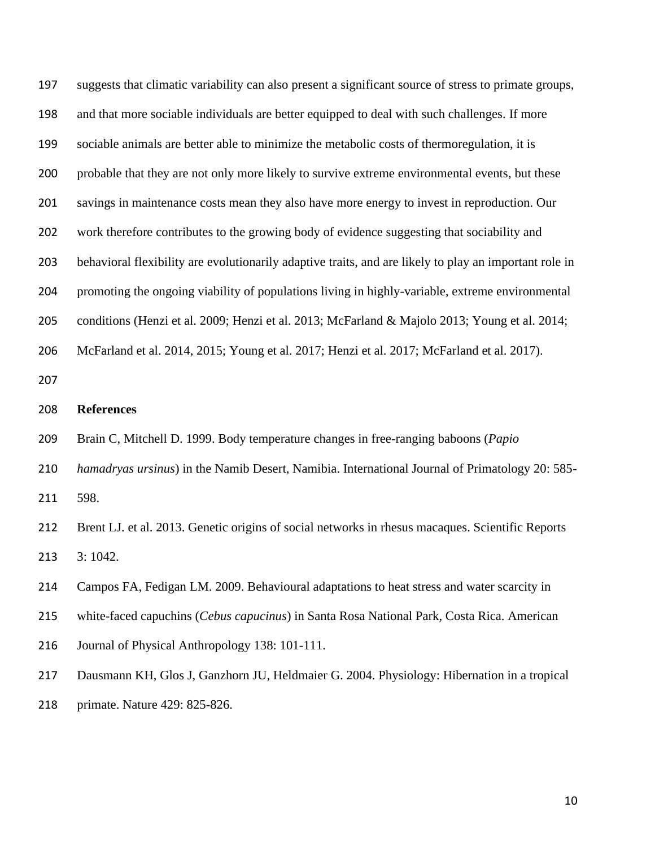suggests that climatic variability can also present a significant source of stress to primate groups, and that more sociable individuals are better equipped to deal with such challenges. If more sociable animals are better able to minimize the metabolic costs of thermoregulation, it is probable that they are not only more likely to survive extreme environmental events, but these savings in maintenance costs mean they also have more energy to invest in reproduction. Our work therefore contributes to the growing body of evidence suggesting that sociability and behavioral flexibility are evolutionarily adaptive traits, and are likely to play an important role in promoting the ongoing viability of populations living in highly-variable, extreme environmental conditions (Henzi et al. 2009; Henzi et al. 2013; McFarland & Majolo 2013; Young et al. 2014; McFarland et al. 2014, 2015; Young et al. 2017; Henzi et al. 2017; McFarland et al. 2017). **References** Brain C, Mitchell D. 1999. Body temperature changes in free-ranging baboons (*Papio hamadryas ursinus*) in the Namib Desert, Namibia. International Journal of Primatology 20: 585- 598. Brent LJ. et al. 2013. Genetic origins of social networks in rhesus macaques. Scientific Reports 3: 1042. Campos FA, Fedigan LM. 2009. Behavioural adaptations to heat stress and water scarcity in white-faced capuchins (*Cebus capucinus*) in Santa Rosa National Park, Costa Rica. American Journal of Physical Anthropology 138: 101-111. Dausmann KH, Glos J, Ganzhorn JU, Heldmaier G. 2004. Physiology: Hibernation in a tropical primate. Nature 429: 825-826.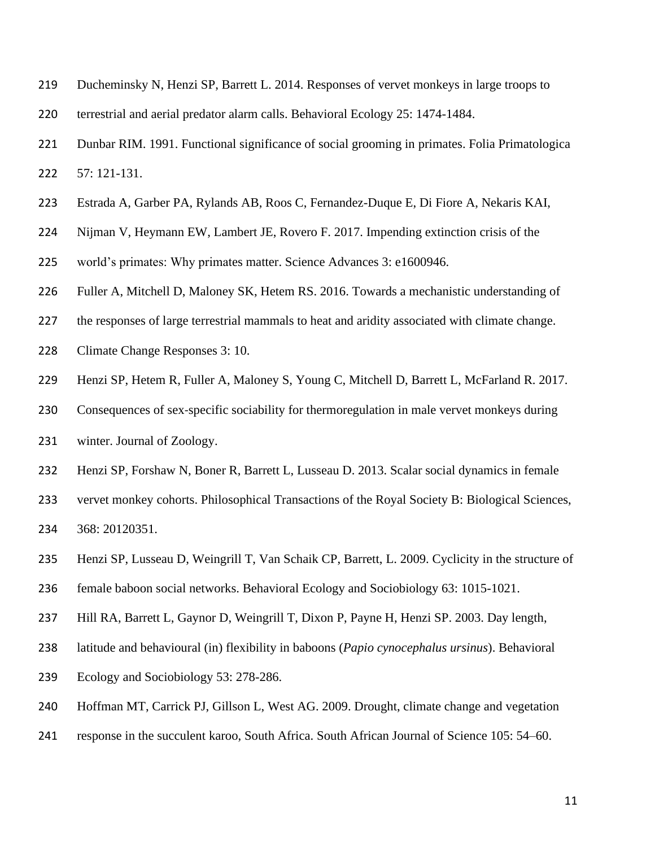- Ducheminsky N, Henzi SP, Barrett L. 2014. Responses of vervet monkeys in large troops to
- terrestrial and aerial predator alarm calls. Behavioral Ecology 25: 1474-1484.
- Dunbar RIM. 1991. Functional significance of social grooming in primates. Folia Primatologica 57: 121-131.
- Estrada A, Garber PA, Rylands AB, Roos C, Fernandez-Duque E, Di Fiore A, Nekaris KAI,
- Nijman V, Heymann EW, Lambert JE, Rovero F. 2017. Impending extinction crisis of the
- world's primates: Why primates matter. Science Advances 3: e1600946.
- Fuller A, Mitchell D, Maloney SK, Hetem RS. 2016. Towards a mechanistic understanding of
- the responses of large terrestrial mammals to heat and aridity associated with climate change.
- Climate Change Responses 3: 10.
- Henzi SP, Hetem R, Fuller A, Maloney S, Young C, Mitchell D, Barrett L, McFarland R. 2017.
- 230 Consequences of sex-specific sociability for thermoregulation in male vervet monkeys during
- winter. Journal of Zoology.
- Henzi SP, Forshaw N, Boner R, Barrett L, Lusseau D. 2013. Scalar social dynamics in female
- vervet monkey cohorts. Philosophical Transactions of the Royal Society B: Biological Sciences, 368: 20120351.
- Henzi SP, Lusseau D, Weingrill T, Van Schaik CP, Barrett, L. 2009. Cyclicity in the structure of
- female baboon social networks. Behavioral Ecology and Sociobiology 63: 1015-1021.
- Hill RA, Barrett L, Gaynor D, Weingrill T, Dixon P, Payne H, Henzi SP. 2003. Day length,
- latitude and behavioural (in) flexibility in baboons (*Papio cynocephalus ursinus*). Behavioral
- Ecology and Sociobiology 53: 278-286.
- Hoffman MT, Carrick PJ, Gillson L, West AG. 2009. Drought, climate change and vegetation
- response in the succulent karoo, South Africa. South African Journal of Science 105: 54–60.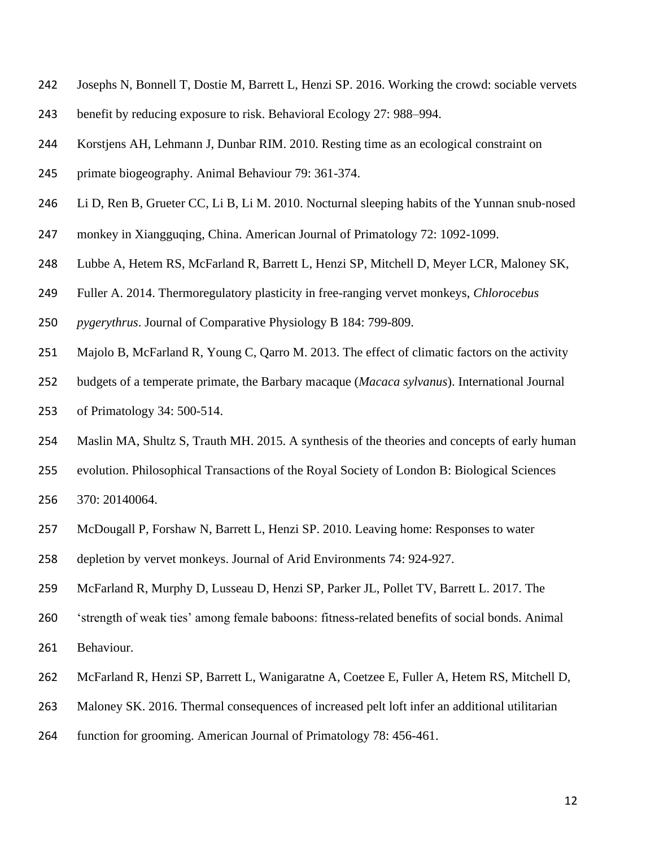- Josephs N, Bonnell T, Dostie M, Barrett L, Henzi SP. 2016. Working the crowd: sociable vervets
- benefit by reducing exposure to risk. Behavioral Ecology 27: 988–994.
- Korstjens AH, Lehmann J, Dunbar RIM. 2010. Resting time as an ecological constraint on
- primate biogeography. Animal Behaviour 79: 361-374.
- Li D, Ren B, Grueter CC, Li B, Li M. 2010. Nocturnal sleeping habits of the Yunnan snub‐nosed
- monkey in Xiangguqing, China. American Journal of Primatology 72: 1092-1099.
- Lubbe A, Hetem RS, McFarland R, Barrett L, Henzi SP, Mitchell D, Meyer LCR, Maloney SK,
- Fuller A. 2014. Thermoregulatory plasticity in free-ranging vervet monkeys, *Chlorocebus*
- *pygerythrus*. Journal of Comparative Physiology B 184: 799-809.
- Majolo B, McFarland R, Young C, Qarro M. 2013. The effect of climatic factors on the activity
- budgets of a temperate primate, the Barbary macaque (*Macaca sylvanus*). International Journal of Primatology 34: 500-514.
- Maslin MA, Shultz S, Trauth MH. 2015. A synthesis of the theories and concepts of early human
- evolution. Philosophical Transactions of the Royal Society of London B: Biological Sciences

370: 20140064.

- McDougall P, Forshaw N, Barrett L, Henzi SP. 2010. Leaving home: Responses to water
- depletion by vervet monkeys. Journal of Arid Environments 74: 924-927.
- McFarland R, Murphy D, Lusseau D, Henzi SP, Parker JL, Pollet TV, Barrett L. 2017. The
- 'strength of weak ties' among female baboons: fitness-related benefits of social bonds. Animal Behaviour.
- 262 McFarland R, Henzi SP, Barrett L, Wanigaratne A, Coetzee E, Fuller A, Hetem RS, Mitchell D,
- Maloney SK. 2016. Thermal consequences of increased pelt loft infer an additional utilitarian
- function for grooming. American Journal of Primatology 78: 456-461.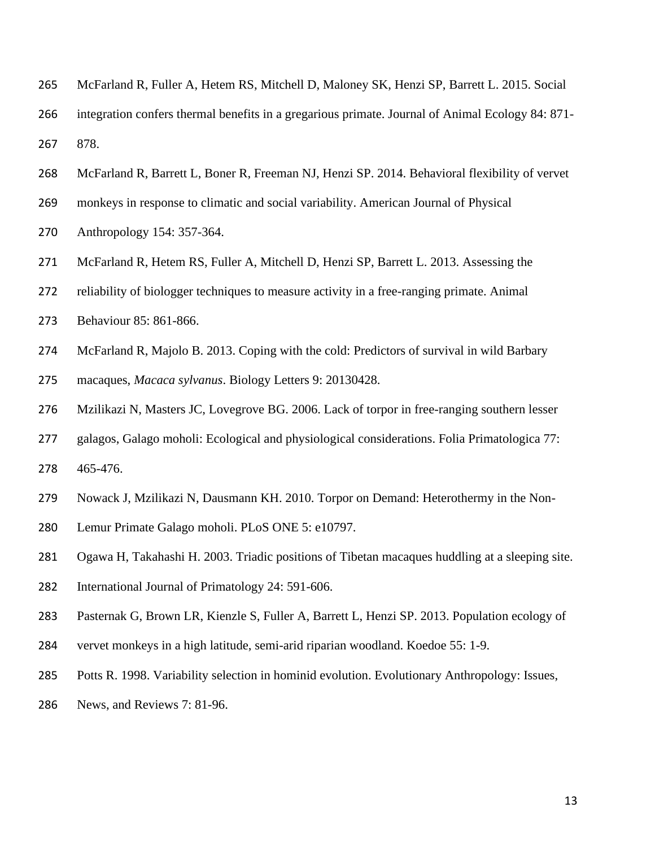- McFarland R, Fuller A, Hetem RS, Mitchell D, Maloney SK, Henzi SP, Barrett L. 2015. Social
- integration confers thermal benefits in a gregarious primate. Journal of Animal Ecology 84: 871- 878.
- McFarland R, Barrett L, Boner R, Freeman NJ, Henzi SP. 2014. Behavioral flexibility of vervet
- monkeys in response to climatic and social variability. American Journal of Physical
- Anthropology 154: 357-364.
- McFarland R, Hetem RS, Fuller A, Mitchell D, Henzi SP, Barrett L. 2013. Assessing the
- reliability of biologger techniques to measure activity in a free-ranging primate. Animal
- Behaviour 85: 861-866.
- McFarland R, Majolo B. 2013. Coping with the cold: Predictors of survival in wild Barbary
- macaques, *Macaca sylvanus*. Biology Letters 9: 20130428.
- Mzilikazi N, Masters JC, Lovegrove BG. 2006. Lack of torpor in free-ranging southern lesser
- galagos, Galago moholi: Ecological and physiological considerations. Folia Primatologica 77: 465-476.
- Nowack J, Mzilikazi N, Dausmann KH. 2010. Torpor on Demand: Heterothermy in the Non-
- Lemur Primate Galago moholi. PLoS ONE 5: e10797.
- Ogawa H, Takahashi H. 2003. Triadic positions of Tibetan macaques huddling at a sleeping site.
- International Journal of Primatology 24: 591-606.
- Pasternak G, Brown LR, Kienzle S, Fuller A, Barrett L, Henzi SP. 2013. Population ecology of
- vervet monkeys in a high latitude, semi-arid riparian woodland. Koedoe 55: 1-9.
- Potts R. 1998. Variability selection in hominid evolution. Evolutionary Anthropology: Issues,
- News, and Reviews 7: 81-96.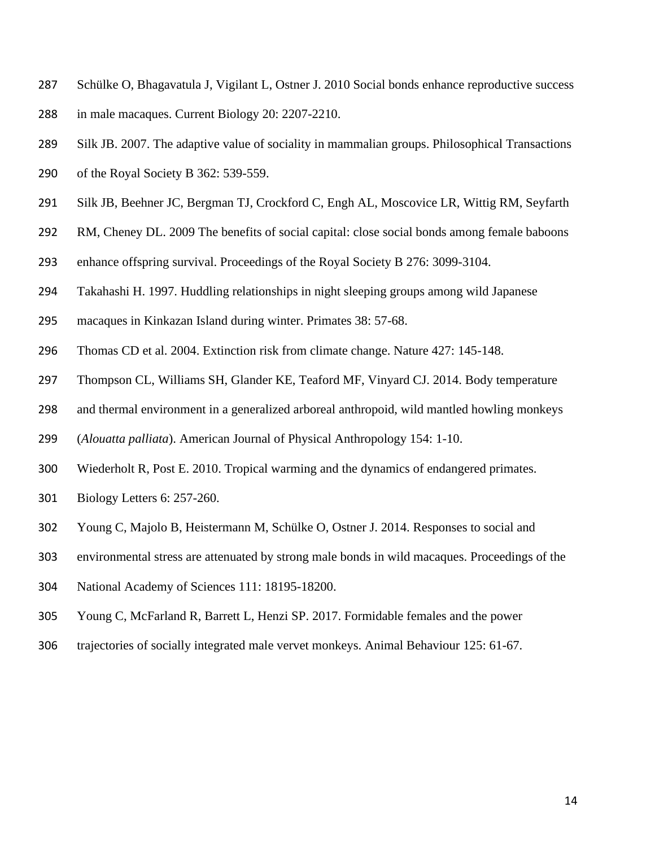- Schülke O, Bhagavatula J, Vigilant L, Ostner J. 2010 Social bonds enhance reproductive success in male macaques. Current Biology 20: 2207-2210.
- Silk JB. 2007. The adaptive value of sociality in mammalian groups. Philosophical Transactions
- of the Royal Society B 362: 539-559.
- Silk JB, Beehner JC, Bergman TJ, Crockford C, Engh AL, Moscovice LR, Wittig RM, Seyfarth
- RM, Cheney DL. 2009 The benefits of social capital: close social bonds among female baboons
- enhance offspring survival. Proceedings of the Royal Society B 276: 3099-3104.
- Takahashi H. 1997. Huddling relationships in night sleeping groups among wild Japanese
- macaques in Kinkazan Island during winter. Primates 38: 57-68.
- Thomas CD et al. 2004. Extinction risk from climate change. Nature 427: 145-148.
- Thompson CL, Williams SH, Glander KE, Teaford MF, Vinyard CJ. 2014. Body temperature
- and thermal environment in a generalized arboreal anthropoid, wild mantled howling monkeys
- (*Alouatta palliata*). American Journal of Physical Anthropology 154: 1-10.
- Wiederholt R, Post E. 2010. Tropical warming and the dynamics of endangered primates.
- Biology Letters 6: 257-260.
- Young C, Majolo B, Heistermann M, Schülke O, Ostner J. 2014. Responses to social and
- environmental stress are attenuated by strong male bonds in wild macaques. Proceedings of the
- National Academy of Sciences 111: 18195-18200.
- Young C, McFarland R, Barrett L, Henzi SP. 2017. Formidable females and the power
- trajectories of socially integrated male vervet monkeys. Animal Behaviour 125: 61-67.